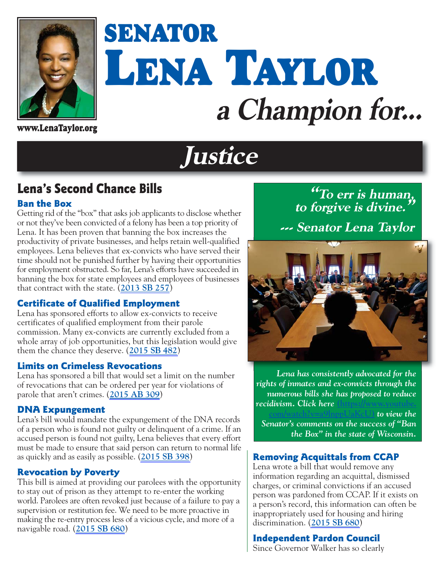

# **SENATOR LENA TAYLOR a Champion for...**

**www.LenaTaylor.org**

## **Justice**

### **Lena's Second Chance Bills**

#### **Ban the Box**

Getting rid of the "box" that asks job applicants to disclose whether or not they've been convicted of a felony has been a top priority of Lena. It has been proven that banning the box increases the productivity of private businesses, and helps retain well-qualified employees. Lena believes that ex-convicts who have served their time should not be punished further by having their opportunities for employment obstructed. So far, Lena's efforts have succeeded in banning the box for state employees and employees of businesses that contract with the state. (**[2013 SB 257](https://docs.legis.wisconsin.gov/2013/proposals/sb257)**)

#### **Certificate of Qualified Employment**

Lena has sponsored efforts to allow ex-convicts to receive certificates of qualified employment from their parole commission. Many ex-convicts are currently excluded from a whole array of job opportunities, but this legislation would give them the chance they deserve. (**[2015 SB 482](https://docs.legis.wisconsin.gov/2015/proposals/sb482)**)

#### **Limits on Crimeless Revocations**

Lena has sponsored a bill that would set a limit on the number of revocations that can be ordered per year for violations of parole that aren't crimes. (**[2015 AB 309](https://docs.legis.wisconsin.gov/2015/proposals/ab309)**)

#### **DNA Expungement**

Lena's bill would mandate the expungement of the DNA records of a person who is found not guilty or delinquent of a crime. If an accused person is found not guilty, Lena believes that every effort must be made to ensure that said person can return to normal life as quickly and as easily as possible. (**[2015 SB 398](http://docs.legis.wisconsin.gov/2015/proposals/sb398)**)

#### **Revocation by Poverty**

This bill is aimed at providing our parolees with the opportunity to stay out of prison as they attempt to re-enter the working world. Parolees are often revoked just because of a failure to pay a supervision or restitution fee. We need to be more proactive in making the re-entry process less of a vicious cycle, and more of a navigable road. (**[2015 SB 680](https://docs.legis.wisconsin.gov/2015/proposals/sb680)**)

**"To err is human, to forgive is divine." --- Senator Lena Taylor** 



*Lena has consistently advocated for the rights of inmates and ex-convicts through the numerous bills she has proposed to reduce recidivism. Click here* **(https://www.youtube.**

**c** to view the *Senator's comments on the success of "Ban the Box" in the state of Wisconsin.*

#### **Removing Acquittals from CCAP**

Lena wrote a bill that would remove any information regarding an acquittal, dismissed charges, or criminal convictions if an accused person was pardoned from CCAP. If it exists on a person's record, this information can often be inappropriately used for housing and hiring discrimination. (**[2015 SB 680](https://docs.legis.wisconsin.gov/2015/proposals/sb680)**)

#### **Independent Pardon Council**

Since Governor Walker has so clearly